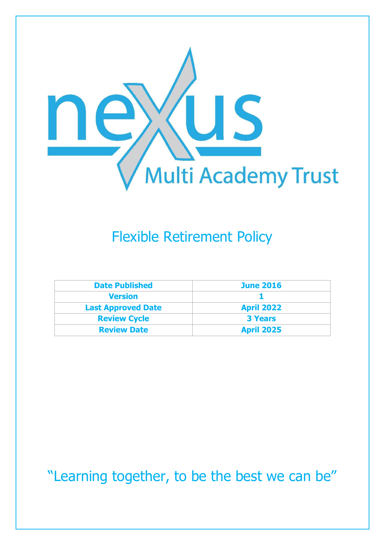

# Flexible Retirement Policy

| <b>Date Published</b>     | <b>June 2016</b>  |
|---------------------------|-------------------|
| <b>Version</b>            |                   |
| <b>Last Approved Date</b> | <b>April 2022</b> |
| <b>Review Cycle</b>       | <b>3 Years</b>    |
| <b>Review Date</b>        | <b>April 2025</b> |

"Learning together, to be the best we can be"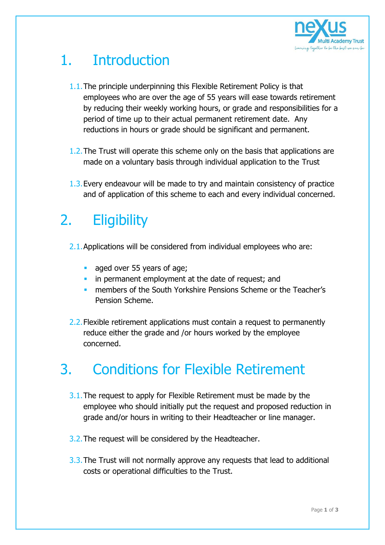

# 1. Introduction

- 1.1.The principle underpinning this Flexible Retirement Policy is that employees who are over the age of 55 years will ease towards retirement by reducing their weekly working hours, or grade and responsibilities for a period of time up to their actual permanent retirement date. Any reductions in hours or grade should be significant and permanent.
- 1.2.The Trust will operate this scheme only on the basis that applications are made on a voluntary basis through individual application to the Trust
- 1.3.Every endeavour will be made to try and maintain consistency of practice and of application of this scheme to each and every individual concerned.

### 2. Eligibility

- 2.1.Applications will be considered from individual employees who are:
	- aged over 55 years of age;
	- **i** in permanent employment at the date of request; and
	- **numbers of the South Yorkshire Pensions Scheme or the Teacher's** Pension Scheme.
- 2.2. Flexible retirement applications must contain a request to permanently reduce either the grade and /or hours worked by the employee concerned.

#### 3. Conditions for Flexible Retirement

- 3.1. The request to apply for Flexible Retirement must be made by the employee who should initially put the request and proposed reduction in grade and/or hours in writing to their Headteacher or line manager.
- 3.2. The request will be considered by the Headteacher.
- 3.3.The Trust will not normally approve any requests that lead to additional costs or operational difficulties to the Trust.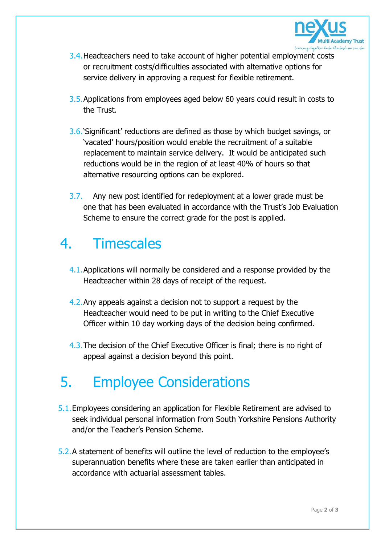

- 3.4. Headteachers need to take account of higher potential employment costs or recruitment costs/difficulties associated with alternative options for service delivery in approving a request for flexible retirement.
- 3.5.Applications from employees aged below 60 years could result in costs to the Trust.
- 3.6.'Significant' reductions are defined as those by which budget savings, or 'vacated' hours/position would enable the recruitment of a suitable replacement to maintain service delivery. It would be anticipated such reductions would be in the region of at least 40% of hours so that alternative resourcing options can be explored.
- 3.7. Any new post identified for redeployment at a lower grade must be one that has been evaluated in accordance with the Trust's Job Evaluation Scheme to ensure the correct grade for the post is applied.

#### 4. Timescales

- 4.1.Applications will normally be considered and a response provided by the Headteacher within 28 days of receipt of the request.
- 4.2.Any appeals against a decision not to support a request by the Headteacher would need to be put in writing to the Chief Executive Officer within 10 day working days of the decision being confirmed.
- 4.3.The decision of the Chief Executive Officer is final; there is no right of appeal against a decision beyond this point.

# 5. Employee Considerations

- 5.1.Employees considering an application for Flexible Retirement are advised to seek individual personal information from South Yorkshire Pensions Authority and/or the Teacher's Pension Scheme.
- 5.2.A statement of benefits will outline the level of reduction to the employee's superannuation benefits where these are taken earlier than anticipated in accordance with actuarial assessment tables.